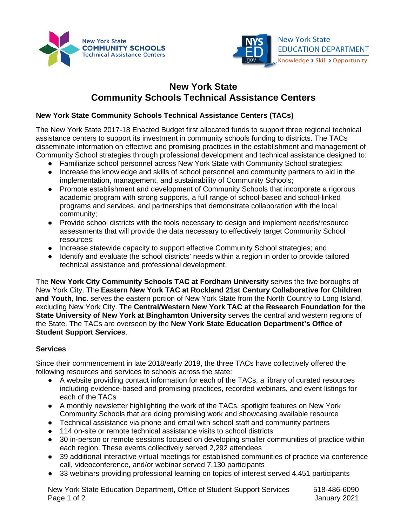



## **New York State Community Schools Technical Assistance Centers**

## **New York State Community Schools Technical Assistance Centers (TACs)**

The New York State 2017-18 Enacted Budget first allocated funds to support three regional technical assistance centers to support its investment in community schools funding to districts. The TACs disseminate information on effective and promising practices in the establishment and management of Community School strategies through professional development and technical assistance designed to:

- Familiarize school personnel across New York State with Community School strategies;
- Increase the knowledge and skills of school personnel and community partners to aid in the implementation, management, and sustainability of Community Schools;
- Promote establishment and development of Community Schools that incorporate a rigorous academic program with strong supports, a full range of school-based and school-linked programs and services, and partnerships that demonstrate collaboration with the local community;
- Provide school districts with the tools necessary to design and implement needs/resource assessments that will provide the data necessary to effectively target Community School resources;
- Increase statewide capacity to support effective Community School strategies; and
- Identify and evaluate the school districts' needs within a region in order to provide tailored technical assistance and professional development.

The **New York City Community Schools TAC at Fordham University** serves the five boroughs of New York City. The **Eastern New York TAC at Rockland 21st Century Collaborative for Children and Youth, Inc.** serves the eastern portion of New York State from the North Country to Long Island, excluding New York City. The **Central/Western New York TAC at the Research Foundation for the State University of New York at Binghamton University** serves the central and western regions of the State. The TACs are overseen by the **New York State Education Department's Office of Student Support Services**.

## **Services**

Since their commencement in late 2018/early 2019, the three TACs have collectively offered the following resources and services to schools across the state:

- A website providing contact information for each of the TACs, a library of curated resources including evidence-based and promising practices, recorded webinars, and event listings for each of the TACs
- A monthly newsletter highlighting the work of the TACs, spotlight features on New York Community Schools that are doing promising work and showcasing available resource
- Technical assistance via phone and email with school staff and community partners
- 114 on-site or remote technical assistance visits to school districts
- 30 in-person or remote sessions focused on developing smaller communities of practice within each region. These events collectively served 2,292 attendees
- 39 additional interactive virtual meetings for established communities of practice via conference call, videoconference, and/or webinar served 7,130 participants
- 33 webinars providing professional learning on topics of interest served 4,451 participants

New York State Education Department, Office of Student Support Services 518-486-6090 Page 1 of 2 January 2021